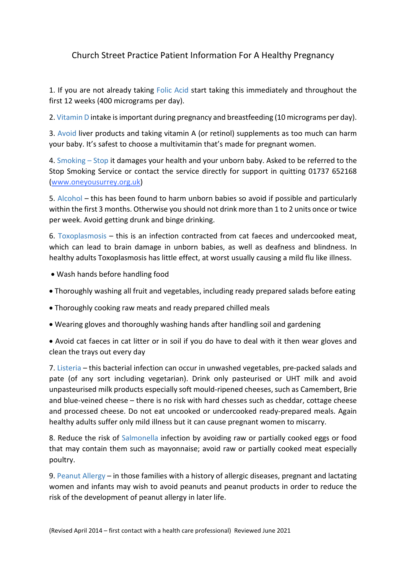## Church Street Practice Patient Information For A Healthy Pregnancy

1. If you are not already taking Folic Acid start taking this immediately and throughout the first 12 weeks (400 micrograms per day).

2. Vitamin D intake is important during pregnancy and breastfeeding (10 micrograms per day).

3. Avoid liver products and taking vitamin A (or retinol) supplements as too much can harm your baby. It's safest to choose a multivitamin that's made for pregnant women.

4. Smoking – Stop it damages your health and your unborn baby. Asked to be referred to the Stop Smoking Service or contact the service directly for support in quitting 01737 652168 (www.oneyousurrey.org.uk)

5. Alcohol – this has been found to harm unborn babies so avoid if possible and particularly within the first 3 months. Otherwise you should not drink more than 1 to 2 units once or twice per week. Avoid getting drunk and binge drinking.

6. Toxoplasmosis – this is an infection contracted from cat faeces and undercooked meat, which can lead to brain damage in unborn babies, as well as deafness and blindness. In healthy adults Toxoplasmosis has little effect, at worst usually causing a mild flu like illness.

- Wash hands before handling food
- Thoroughly washing all fruit and vegetables, including ready prepared salads before eating
- Thoroughly cooking raw meats and ready prepared chilled meals
- Wearing gloves and thoroughly washing hands after handling soil and gardening

• Avoid cat faeces in cat litter or in soil if you do have to deal with it then wear gloves and clean the trays out every day

7. Listeria – this bacterial infection can occur in unwashed vegetables, pre-packed salads and pate (of any sort including vegetarian). Drink only pasteurised or UHT milk and avoid unpasteurised milk products especially soft mould-ripened cheeses, such as Camembert, Brie and blue-veined cheese – there is no risk with hard chesses such as cheddar, cottage cheese and processed cheese. Do not eat uncooked or undercooked ready-prepared meals. Again healthy adults suffer only mild illness but it can cause pregnant women to miscarry.

8. Reduce the risk of Salmonella infection by avoiding raw or partially cooked eggs or food that may contain them such as mayonnaise; avoid raw or partially cooked meat especially poultry.

9. Peanut Allergy – in those families with a history of allergic diseases, pregnant and lactating women and infants may wish to avoid peanuts and peanut products in order to reduce the risk of the development of peanut allergy in later life.